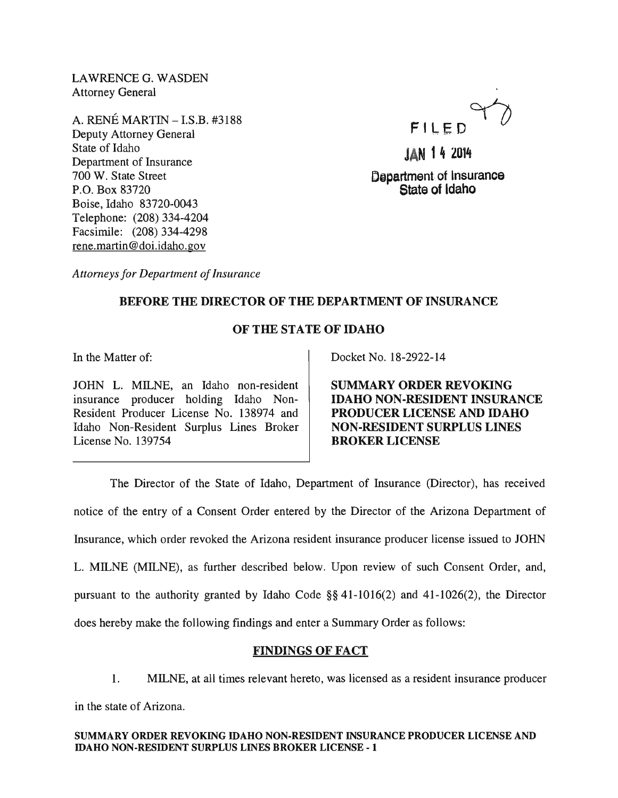LAWRENCEG. WASDEN Attorney General

A. RENE MARTIN - I.S.B. #3188 Deputy Attorney General State of Idaho Department of Insurance 700 W. State Street P.O. Box 83720 Boise, Idaho 83720-0043 Telephone: (208) 334-4204 Facsimile: (208) 334-4298 rene.martin@doi.idaho.gov



JAN 14 2014 Department of Insurance State of Idaho

*Attorneys for Department of Insurance* 

# BEFORE THE DIRECTOR OF THE DEPARTMENT OF INSURANCE

# OF THE STATE OF IDAHO

In the Matter of:

JOHN L. MILNE, an Idaho non-resident insurance producer holding Idaho Non-Resident Producer License No. 138974 and Idaho Non-Resident Surplus Lines Broker License No. 139754

Docket No. 18-2922-14

SUMMARY ORDER REVOKING IDAHO NON-RESIDENT INSURANCE PRODUCER LICENSE AND IDAHO NON-RESIDENT SURPLUS LINES BROKER LICENSE

The Director of the State of Idaho, Department of Insurance (Director), has received notice of the entry of a Consent Order entered by the Director of the Arizona Department of Insurance, which order revoked the Arizona resident insurance producer license issued to JOHN L. MILNE (MILNE), as further described below. Upon review of such Consent Order, and, pursuant to the authority granted by Idaho Code §§ 41-1016(2) and 41-1026(2), the Director does hereby make the following findings and enter a Summary Order as follows:

# FINDINGS OF FACT

1. MILNE, at all times relevant hereto, was licensed as a resident insurance producer in the state of Arizona.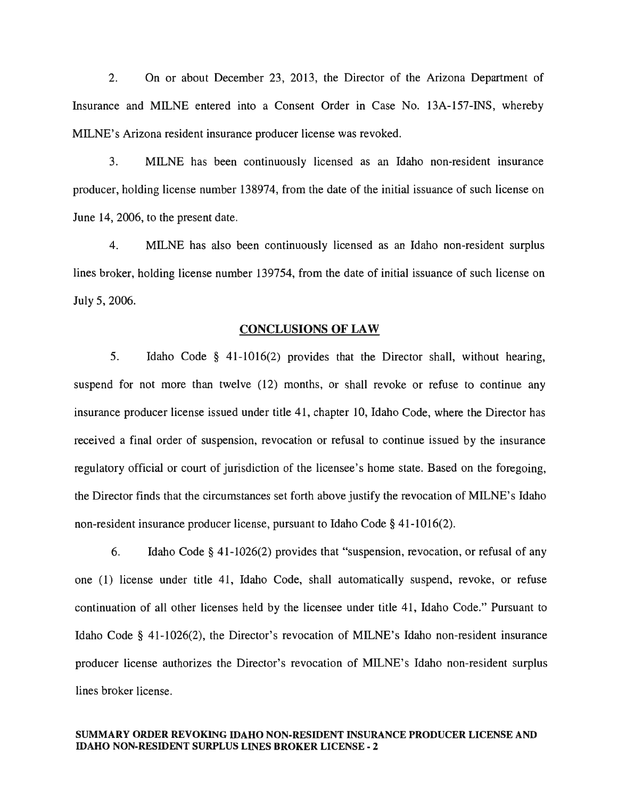2. On or about December 23, 2013, the Director of the Arizona Department of Insurance and MILNE entered into a Consent Order in Case No. 13A-157-INS, whereby MILNE's Arizona resident insurance producer license was revoked.

3. MILNE has been continuously licensed as an Idaho non-resident insurance producer, holding license number 138974, from the date of the initial issuance of such license on June 14,2006, to the present date.

4. MILNE has also been continuously licensed as an Idaho non-resident surplus lines broker, holding license number 139754, from the date of initial issuance of such license on July 5, 2006.

#### CONCLUSIONS OF LAW

5. Idaho Code § 41-1016(2) provides that the Director shall, without hearing, suspend for not more than twelve (12) months, or shall revoke or refuse to continue any insurance producer license issued under title 41, chapter 10, Idaho Code, where the Director has received a final order of suspension, revocation or refusal to continue issued by the insurance regulatory official or court of jurisdiction of the licensee's home state. Based on the foregoing, the Director finds that the circumstances set forth above justify the revocation of MILNE's Idaho non-resident insurance producer license, pursuant to Idaho Code § 41-1016(2).

6. Idaho Code § 41-1026(2) provides that "suspension, revocation, or refusal of any one (1) license under title 41, Idaho Code, shall automatically suspend, revoke, or refuse continuation of all other licenses held by the licensee under title 41, Idaho Code." Pursuant to Idaho Code § 41-1026(2), the Director's revocation of MILNE's Idaho non-resident insurance producer license authorizes the Director's revocation of MILNE's Idaho non-resident surplus lines broker license.

#### SUMMARY ORDER REVOKING IDAHO NON-RESIDENT INSURANCE PRODUCER LICENSE AND IDAHO NON·RESIDENT SURPLUS LINES BROKER LICENSE· 2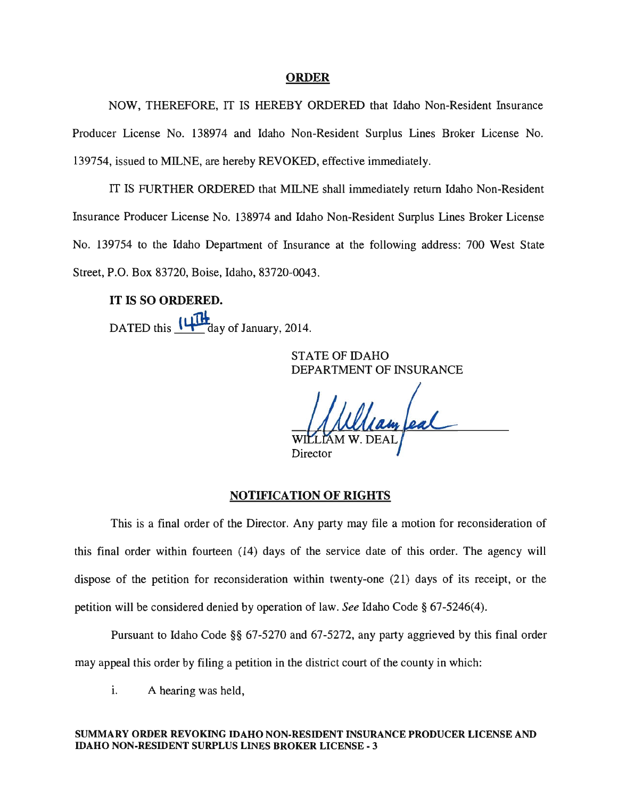### ORDER

NOW, THEREFORE, IT IS HEREBY ORDERED that Idaho Non-Resident Insurance Producer License No. 138974 and Idaho Non-Resident Surplus Lines Broker License No. 139754, issued to MILNE, are hereby REVOKED, effective immediately.

IT IS FURTHER ORDERED that MILNE shall immediately return Idaho Non-Resident Insurance Producer License No. 138974 and Idaho Non-Resident Surplus Lines Broker License No. 139754 to the Idaho Department of Insurance at the following address: 700 West State Street, P.O. Box 83720, Boise, Idaho, 83720-0043.

# IT IS SO ORDERED.

DATED this  $~\mathbf{U} \mathbf{H}$  day of January, 2014.

STATE OF IDAHO DEPARTMENT OF INSURANCE

Director

#### NOTIFICATION OF RIGHTS

This is a final order of the Director. Any party may file a motion for reconsideration of this final order within fourteen (14) days of the service date of this order. The agency will dispose of the petition for reconsideration within twenty-one (21) days of its receipt, or the petition will be considered denied by operation of law. *See* Idaho Code § 67-5246(4).

Pursuant to Idaho Code §§ 67-5270 and 67-5272, any party aggrieved by this final order may appeal this order by filing a petition in the district court of the county in which:

i. A hearing was held,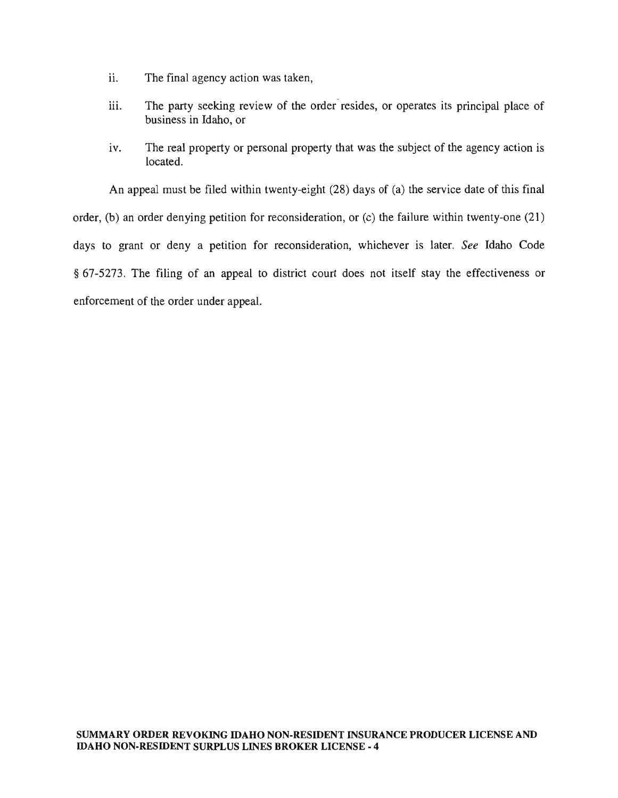- ii. The final agency action was taken,
- iii. The party seeking review of the order resides, or operates its principal place of business in Idaho, or
- iv. The real property or personal property that was the subject of the agency action is located.

An appeal must be filed within twenty-eight (28) days of (a) the service date of this final order, (b) an order denying petition for reconsideration, or (c) the failure within twenty-one (21) days to grant or deny a petition for reconsideration, whichever is later. *See* Idaho Code § 67-5273. The filing of an appeal to district court does not itself stay the effectiveness or enforcement of the order under appeal.